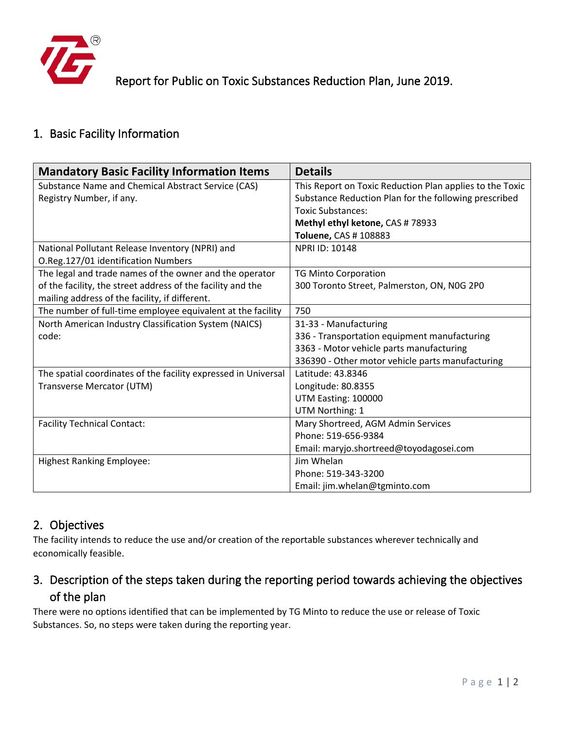

# Report for Public on Toxic Substances Reduction Plan, June 2019.

## 1. Basic Facility Information

| <b>Mandatory Basic Facility Information Items</b>              | <b>Details</b>                                           |
|----------------------------------------------------------------|----------------------------------------------------------|
| Substance Name and Chemical Abstract Service (CAS)             | This Report on Toxic Reduction Plan applies to the Toxic |
| Registry Number, if any.                                       | Substance Reduction Plan for the following prescribed    |
|                                                                | <b>Toxic Substances:</b>                                 |
|                                                                | Methyl ethyl ketone, CAS # 78933                         |
|                                                                | Toluene, CAS # 108883                                    |
| National Pollutant Release Inventory (NPRI) and                | <b>NPRI ID: 10148</b>                                    |
| O.Reg.127/01 identification Numbers                            |                                                          |
| The legal and trade names of the owner and the operator        | <b>TG Minto Corporation</b>                              |
| of the facility, the street address of the facility and the    | 300 Toronto Street, Palmerston, ON, N0G 2P0              |
| mailing address of the facility, if different.                 |                                                          |
| The number of full-time employee equivalent at the facility    | 750                                                      |
| North American Industry Classification System (NAICS)          | 31-33 - Manufacturing                                    |
| code:                                                          | 336 - Transportation equipment manufacturing             |
|                                                                | 3363 - Motor vehicle parts manufacturing                 |
|                                                                | 336390 - Other motor vehicle parts manufacturing         |
| The spatial coordinates of the facility expressed in Universal | Latitude: 43.8346                                        |
| Transverse Mercator (UTM)                                      | Longitude: 80.8355                                       |
|                                                                | UTM Easting: 100000                                      |
|                                                                | UTM Northing: 1                                          |
| <b>Facility Technical Contact:</b>                             | Mary Shortreed, AGM Admin Services                       |
|                                                                | Phone: 519-656-9384                                      |
|                                                                | Email: maryjo.shortreed@toyodagosei.com                  |
| <b>Highest Ranking Employee:</b>                               | Jim Whelan                                               |
|                                                                | Phone: 519-343-3200                                      |
|                                                                | Email: jim.whelan@tgminto.com                            |

#### 2. Objectives

The facility intends to reduce the use and/or creation of the reportable substances wherever technically and economically feasible.

## 3. Description of the steps taken during the reporting period towards achieving the objectives of the plan

There were no options identified that can be implemented by TG Minto to reduce the use or release of Toxic Substances. So, no steps were taken during the reporting year.